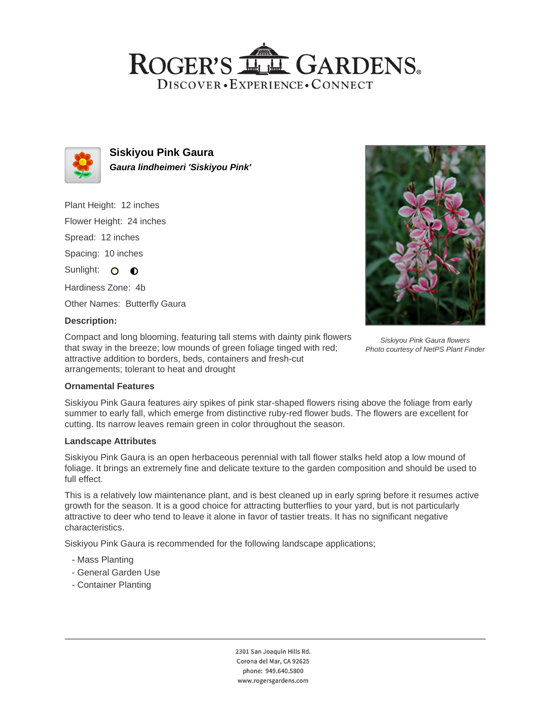## ROGER'S LL GARDENS. DISCOVER · EXPERIENCE · CONNECT



**Siskiyou Pink Gaura Gaura lindheimeri 'Siskiyou Pink'**

Plant Height: 12 inches Flower Height: 24 inches Spread: 12 inches Spacing: 10 inches Sunlight: O **O** 

Hardiness Zone: 4b

Other Names: Butterfly Gaura

## **Description:**

Compact and long blooming, featuring tall stems with dainty pink flowers that sway in the breeze; low mounds of green foliage tinged with red; attractive addition to borders, beds, containers and fresh-cut arrangements; tolerant to heat and drought



## **Ornamental Features**

Siskiyou Pink Gaura features airy spikes of pink star-shaped flowers rising above the foliage from early summer to early fall, which emerge from distinctive ruby-red flower buds. The flowers are excellent for cutting. Its narrow leaves remain green in color throughout the season.

#### **Landscape Attributes**

Siskiyou Pink Gaura is an open herbaceous perennial with tall flower stalks held atop a low mound of foliage. It brings an extremely fine and delicate texture to the garden composition and should be used to full effect.

This is a relatively low maintenance plant, and is best cleaned up in early spring before it resumes active growth for the season. It is a good choice for attracting butterflies to your yard, but is not particularly attractive to deer who tend to leave it alone in favor of tastier treats. It has no significant negative characteristics.

Siskiyou Pink Gaura is recommended for the following landscape applications;

- Mass Planting
- General Garden Use
- Container Planting

2301 San Joaquin Hills Rd. Corona del Mar, CA 92625 phone: 949.640.5800 www.rogersgardens.com